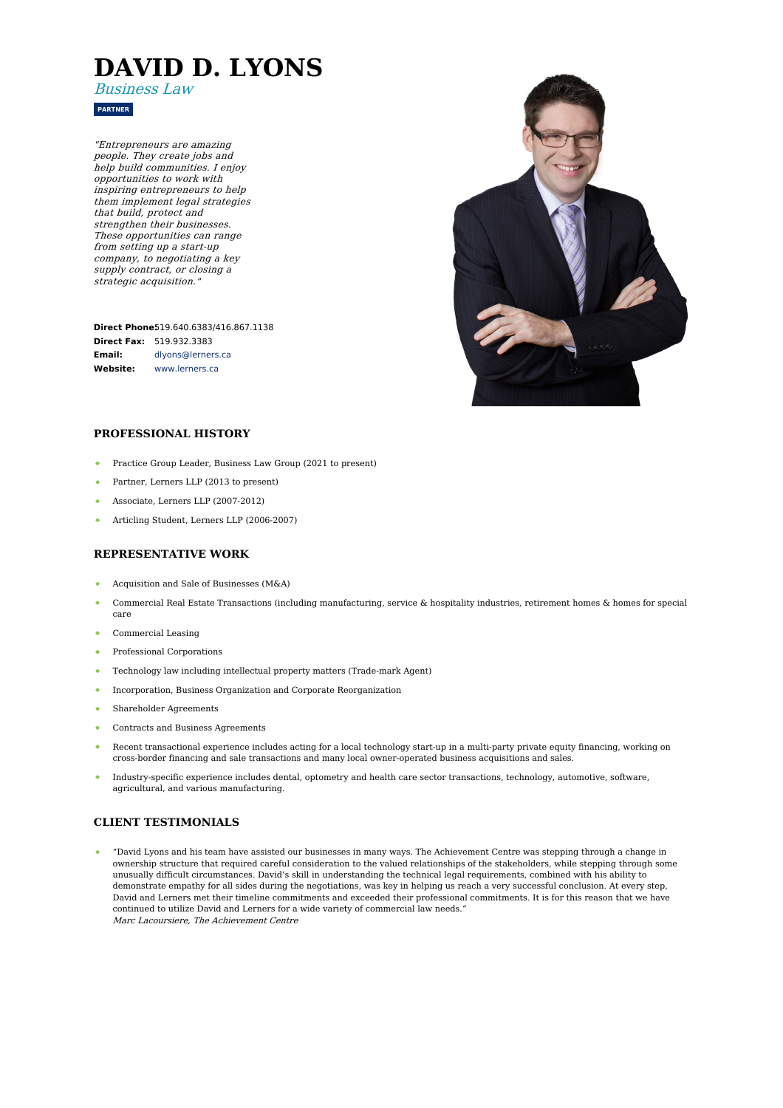# **DAVID D. LYONS**

Business Law

**PARTNER**

"Entrepreneurs are amazing people. They create jobs and help build communities. I enjoy opportunities to work with inspiring entrepreneurs to help them implement legal strategies that build, protect and strengthen their businesses. These opportunities can range from setting up <sup>a</sup> start-up company, to negotiating <sup>a</sup> key supply contract, or closing <sup>a</sup> strategic acquisition."

**Direct Phone:** [519.640.6383/416.867.1138](tel:519.640.6383/416.867.1138) **Direct Fax:** 519.932.3383 **Email: Website:** [dlyons@lerners.ca](mailto:dlyons@lerners.ca) [www.lerners.ca](https://www.lerners.ca/)



## **PROFESSIONAL HISTORY**

- Practice Group Leader, Business Law Group (2021 to present)
- Partner, Lerners LLP (2013 to present)  $\bullet$  .
- Associate, Lerners LLP (2007-2012)
- Articling Student, Lerners LLP (2006-2007)

# **REPRESENTATIVE WORK**

- Acquisition and Sale of Businesses (M&A)
- Commercial Real Estate Transactions (including manufacturing, service & hospitality industries, retirement homes & homes for special care
- Commercial Leasing
- $\bullet$  . Professional Corporations
- Technology law including intellectual property matters (Trade-mark Agent)
- $\bullet$  . Incorporation, Business Organization and Corporate Reorganization
- Shareholder Agreements
- Contracts and Business Agreements
- Recent transactional experience includes acting for a local technology start-up in a multi-party private equity financing, working on cross-border financing and sale transactions and many local owner-operated business acquisitions and sales.
- Industry-specific experience includes dental, optometry and health care sector transactions, technology, automotive, software, agricultural, and various manufacturing.

## **CLIENT TESTIMONIALS**

"David Lyons and his team have assisted our businesses in many ways. The Achievement Centre was stepping through a change in ownership structure that required careful consideration to the valued relationships of the stakeholders, while stepping through some unusually difficult circumstances. David's skill in understanding the technical legal requirements, combined with his ability to demonstrate empathy for all sides during the negotiations, was key in helping us reach a very successful conclusion. At every step, David and Lerners met their timeline commitments and exceeded their professional commitments. It is for this reason that we have continued to utilize David and Lerners for a wide variety of commercial law needs." Marc Lacoursiere, The Achievement Centre